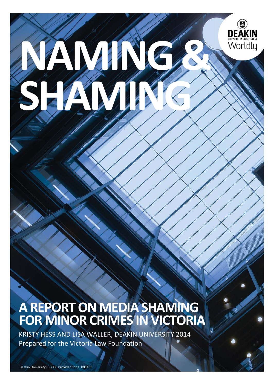# 

 $\textcircled{\tiny{A}}$ **DEAKIN** 

Worldly

M

# A REPORT ON MEDIA SHAMING<br>FOR MINOR CRIMES IN VICTORIA

KRISTY HESS AND LISA WALLER, DEAKIN UNIVERSITY 2014 Prepared for the Victoria Law Foundation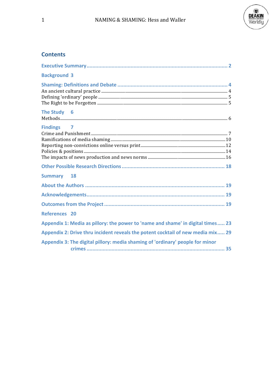

### **Contents**

| <b>Background 3</b>                                                             |
|---------------------------------------------------------------------------------|
|                                                                                 |
| The Study 6                                                                     |
| <b>Findings</b>                                                                 |
|                                                                                 |
| Summary 18                                                                      |
|                                                                                 |
|                                                                                 |
|                                                                                 |
| References 20                                                                   |
| Appendix 1: Media as pillory: the power to 'name and shame' in digital times 23 |
| Appendix 2: Drive thru incident reveals the potent cocktail of new media mix 29 |
| Appendix 3: The digital pillory: media shaming of 'ordinary' people for minor   |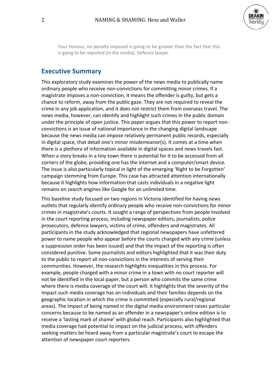

Your Honour, no penalty imposed is going to be greater than the fact that this is going to be reported [in the media]. Defence lawyer

### **Executive Summary**

This exploratory study examines the power of the news media to publically name ordinary people who receive non-convictions for committing minor crimes. If a magistrate imposes a non-conviction, it means the offender is guilty, but gets a chance to reform, away from the public gaze. They are not required to reveal the crime in any job application, and it does not restrict them from overseas travel. The news media, however, can identify and highlight such crimes in the public domain under the principle of open justice. This paper argues that this power to report nonconvictions is an issue of national importance in the changing digital landscape because the news media can impose relatively permanent public records, especially in digital space, that detail one's minor misdemeanor(s). It comes at a time when there is a plethora of information available in digital spaces and news travels fast. When a story breaks in a tiny town there is potential for it to be accessed from all corners of the globe, providing one has the internet and a computer/smart device. The issue is also particularly topical in light of the emerging 'Right to be Forgotten' campaign stemming from Europe. This case has attracted attention internationally because it highlights how information that casts individuals in a negative light remains on search engines like Google for an unlimited time.

This baseline study focused on two regions in Victoria identified for having news outlets that regularly identify ordinary people who receive non-convictions for minor crimes in magistrate's courts. It sought a range of perspectives from people involved in the court reporting process, including newspaper editors, journalists, police prosecutors, defence lawyers, victims of crime, offenders and magistrates. All participants in the study acknowledged that regional newspapers have unfettered power to name people who appear before the courts charged with any crime (unless a suppression order has been issued) and that the impact of the reporting is often considered punitive. Some journalists and editors highlighted that it was their duty to the public to report all non-convictions in the interests of serving their communities. However, the research highlights inequalities in this process. For example, people charged with a minor crime in a town with no court reporter will not be identified in the local paper, but a person who commits the same crime where there is media coverage of the court will. It highlights that the severity of the impact such media coverage has on individuals and their families depends on the geographic location in which the crime is committed (especially rural/regional areas). The impact of being named in the digital media environment raises particular concerns because to be named as an offender in a newspaper's online edition is to receive a 'lasting mark of shame' with global reach. Participants also highlighted that media coverage had potential to impact on the judicial process, with offenders seeking matters be heard away from a particular magistrate's court to escape the attention of newspaper court reporters.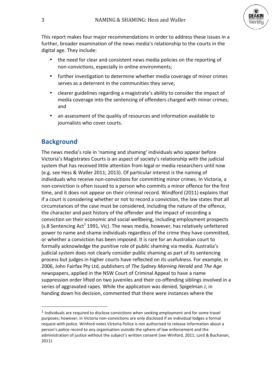

This report makes four major recommendations in order to address these issues in a further, broader examination of the news media's relationship to the courts in the digital age. They include:

- the need for clear and consistent news media policies on the reporting of non-convictions, especially in online environments;
- further investigation to determine whether media coverage of minor crimes serves as a deterrent in the communities they serve:
- clearer guidelines regarding a magistrate's ability to consider the impact of media coverage into the sentencing of offenders charged with minor crimes; and
- an assessment of the quality of resources and information available to journalists who cover courts.

### **Background**

The news media's role in 'naming and shaming' individuals who appear before Victoria's Magistrates Courts is an aspect of society's relationship with the judicial system that has received little attention from legal or media researchers until now (e.g. see Hess & Waller 2011; 2013). Of particular interest is the naming of individuals who receive non-convictions for committing minor crimes. In Victoria, a non-conviction is often issued to a person who commits a minor offence for the first time, and it does not appear on their criminal record. Windford (2011) explains that if a court is considering whether or not to record a conviction, the law states that all circumstances of the case must be considered, including the nature of the offence, the character and past history of the offender and the impact of recording a conviction on their economic and social wellbeing, including employment prospects (s.8 Sentencing Act<sup>1</sup> 1991, Vic). The news media, however, has relatively unfettered power to name and shame individuals regardless of the crime they have committed, or whether a conviction has been imposed. It is rare for an Australian court to formally acknowledge the punitive role of public shaming via media. Australia's judicial system does not clearly consider public shaming as part of its sentencing process but judges in higher courts have reflected on its usefulness. For example, in 2006, John Fairfax Pty Ltd, publishers of The Sydney Morning Herald and The Age newspapers, applied in the NSW Court of Criminal Appeal to have a name suppression order lifted on two juveniles and their co-offending siblings involved in a series of aggravated rapes. While the application was denied, Spigelman J, in handing down his decision, commented that there were instances where the

 $1$  Individuals are required to disclose convictions when seeking employment and for some travel purposes; however, in Victoria non-convictions are only disclosed if an individual lodges a formal request with police. Winford notes Victoria Police is not authorised to release information about a person's police record to any organisation outside the sphere of law enforcement and the administration of justice without the subject's written consent (see Winford, 2011; Lord & Buchanan,  $2011)$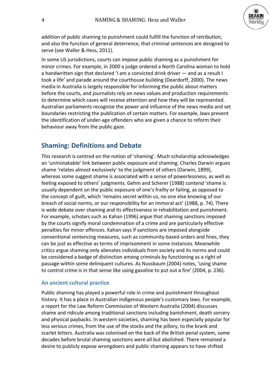

addition of public shaming to punishment could fulfill the function of retribution, and also the function of general deterrence, that criminal sentences are designed to serve (see Waller & Hess, 2011).

In some US jurisdictions, courts can impose public shaming as a punishment for minor crimes. For example, in 2000 a judge ordered a North Carolina woman to hold a handwritten sign that declared 'I am a convicted drink driver - and as a result I took a life' and parade around the courthouse building (Deardorff, 2000). The news media in Australia is largely responsible for informing the public about matters before the courts, and journalists rely on news values and production requirements to determine which cases will receive attention and how they will be represented. Australian parliaments recognise the power and influence of the news media and set boundaries restricting the publication of certain matters. For example, laws prevent the identification of under-age offenders who are given a chance to reform their behaviour away from the public gaze.

### **Shaming: Definitions and Debate**

This research is centred on the notion of 'shaming'. Much scholarship acknowledges an 'unmistakable' link between public exposure and shaming. Charles Darwin argues shame 'relates almost exclusively' to the judgment of others (Darwin, 1899), whereas some suggest shame is associated with a sense of powerlessness, as well as feeling exposed to others' judgments. Gehm and Scherer (1988) contend 'shame is usually dependent on the public exposure of one's frailty or failing, as opposed to the concept of guilt, which 'remains secret within us, no one else knowing of our breach of social norms, or our responsibility for an immoral act' (1988, p. 74). There is wide debate over shaming and its effectiveness in rehabilitation and punishment. For example, scholars such as Kahan (1996) argue that shaming sanctions imposed by the courts signify moral condemnation of a crime and are particularly effective penalties for minor offences. Kahan says if sanctions are imposed alongside conventional sentencing measures, such as community-based orders and fines, they can be just as effective as terms of imprisonment in some instances. Meanwhile critics argue shaming only alienates individuals from society and its norms and could be considered a badge of distinction among criminals by functioning as a right of passage within some delinguent cultures. As Nussbaum (2004) notes, 'using shame to control crime is in that sense like using gasoline to put out a fire' (2004, p. 236).

### An ancient cultural practice

Public shaming has played a powerful role in crime and punishment throughout history. It has a place in Australian Indigenous people's customary laws. For example, a report for the Law Reform Commission of Western Australia (2004) discusses shame and ridicule among traditional sanctions including banishment, death sorcery and physical paybacks. In western societies, shaming has been especially popular for less serious crimes, from the use of the stocks and the pillory, to the brank and scarlet letters. Australia was colonised on the back of the British penal system, some decades before brutal shaming sanctions were all but abolished. There remained a desire to publicly expose wrongdoers and public shaming appears to have shifted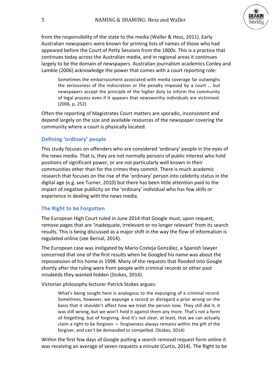

from the responsibility of the state to the media (Waller & Hess, 2011). Early Australian newspapers were known for printing lists of names of those who had appeared before the Court of Petty Sessions from the 1800s. This is a practice that continues today across the Australian media, and in regional areas it continues largely to be the domain of newspapers. Australian journalism academics Conley and Lamble (2006) acknowledge the power that comes with a court reporting role:

Sometimes the embarrassment associated with media coverage far outweighs the seriousness of the indiscretion or the penalty imposed by a court ... but newspapers accept the principle of the higher duty to inform the community of legal process even if it appears that newsworthy individuals are victimised.  $(2006, p. 252)$ 

Often the reporting of Magistrates Court matters are sporadic, inconsistent and depend largely on the size and available resources of the newspaper covering the community where a court is physically located.

### **Defining 'ordinary' people**

This study focuses on offenders who are considered 'ordinary' people in the eyes of the news media. That is, they are not normally persons of public interest who hold positions of significant power, or are not particularly well known in their communities other than for the crimes they commit. There is much academic research that focuses on the rise of the 'ordinary' person into celebrity status in the digital age (e.g. see Turner, 2010) but there has been little attention paid to the impact of negative publicity on the 'ordinary' individual who has few skills or experience in dealing with the news media.

### The Right to be Forgotten

The European High Court ruled in June 2014 that Google must, upon request. remove pages that are 'inadequate, irrelevant or no longer relevant' from its search results. This is being discussed as a major shift in the way the flow of information is regulated online (see Bernal, 2014).

The European case was instigated by Mario Costeja González, a Spanish lawyer concerned that one of the first results when he Googled his name was about the repossession of his home in 1998. Many of the requests that flooded into Google shortly after the ruling were from people with criminal records or other past misdeeds they wanted hidden (Stokes, 2014).

Victorian philosophy lecturer Patrick Stokes argues:

What's being sought here is analogous to the expunging of a criminal record. Sometimes, however, we expunge a record or disregard a prior wrong on the basis that it shouldn't affect how we treat the person now. They still did it, it was still wrong, but we won't hold it against them any more. That's not a form of forgetting, but of forgiving. And it's not clear, at least, that we can actually claim a right to be forgiven  $-$  forgiveness always remains within the gift of the forgiver, and can't be demanded or compelled. (Stokes, 2014)

Within the first few days of Google putting a search removal request form online it was receiving an average of seven requests a minute (Curtis, 2014). The Right to be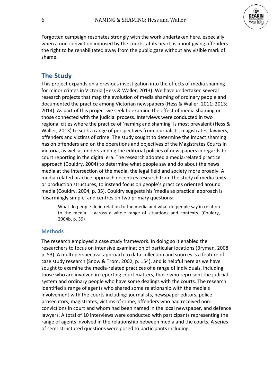

Forgotten campaign resonates strongly with the work undertaken here, especially when a non-conviction imposed by the courts, at its heart, is about giving offenders the right to be rehabilitated away from the public gaze without any visible mark of shame.

### **The Study**

This project expands on a previous investigation into the effects of media shaming for minor crimes in Victoria (Hess & Waller, 2013). We have undertaken several research projects that map the evolution of media shaming of ordinary people and documented the practice among Victorian newspapers (Hess & Waller, 2011; 2013; 2014). As part of this project we seek to examine the effect of media shaming on those connected with the judicial process. Interviews were conducted in two regional cities where the practice of 'naming and shaming' is most prevalent (Hess & Waller, 2013) to seek a range of perspectives from journalists, magistrates, lawyers, offenders and victims of crime. The study sought to determine the impact shaming has on offenders and on the operations and objectives of the Magistrates Courts in Victoria, as well as understanding the editorial policies of newspapers in regards to court reporting in the digital era. The research adopted a media-related practice approach (Couldry, 2004) to determine what people say and do about the news media at the intersection of the media, the legal field and society more broadly. A media-related practice approach decentres research from the study of media texts or production structures, to instead focus on people's practices oriented around media (Couldry, 2004, p. 35). Couldry suggests his 'media as practice' approach is 'disarmingly simple' and centres on two primary questions:

What do people do in relation to the media and what do people say in relation to the media ... across a whole range of situations and contexts. (Couldry, 2004b, p. 39)

### **Methods**

The research employed a case study framework. In doing so it enabled the researchers to focus on intensive examination of particular locations (Bryman, 2008, p. 53). A multi-perspectival approach to data collection and sources is a feature of case study research (Snow & Trom, 2002, p. 154), and is helpful here as we have sought to examine the media-related practices of a range of individuals, including those who are involved in reporting court matters, those who represent the judicial system and ordinary people who have some dealings with the courts. The research identified a range of agents who shared some relationship with the media's involvement with the courts including: journalists, newspaper editors, police prosecutors, magistrates, victims of crime, offenders who had received nonconvictions in court and whom had been named in the local newspaper, and defence lawyers. A total of 10 interviews were conducted with participants representing the range of agents involved in the relationship between media and the courts. A series of semi-structured questions were posed to participants including: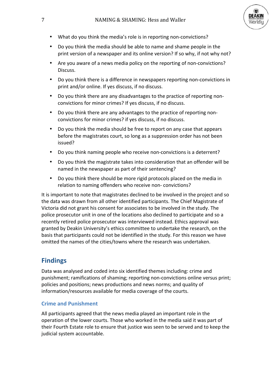

- What do you think the media's role is in reporting non-convictions?
- Do you think the media should be able to name and shame people in the print version of a newspaper and its online version? If so why, if not why not?
- Are you aware of a news media policy on the reporting of non-convictions? Discuss.
- Do you think there is a difference in newspapers reporting non-convictions in  $\bullet$ print and/or online. If yes discuss, if no discuss.
- Do you think there are any disadvantages to the practice of reporting nonconvictions for minor crimes? If yes discuss, if no discuss.
- Do you think there are any advantages to the practice of reporting nonconvictions for minor crimes? if yes discuss, if no discuss.
- Do you think the media should be free to report on any case that appears before the magistrates court, so long as a suppression order has not been issued?
- Do you think naming people who receive non-convictions is a deterrent?
- Do you think the magistrate takes into consideration that an offender will be named in the newspaper as part of their sentencing?
- Do you think there should be more rigid protocols placed on the media in relation to naming offenders who receive non-convictions?

It is important to note that magistrates declined to be involved in the project and so the data was drawn from all other identified participants. The Chief Magistrate of Victoria did not grant his consent for associates to be involved in the study. The police prosecutor unit in one of the locations also declined to participate and so a recently retired police prosecutor was interviewed instead. Ethics approval was granted by Deakin University's ethics committee to undertake the research, on the basis that participants could not be identified in the study. For this reason we have omitted the names of the cities/towns where the research was undertaken.

### **Findings**

Data was analysed and coded into six identified themes including: crime and punishment; ramifications of shaming; reporting non-convictions online versus print; policies and positions; news productions and news norms; and quality of information/resources available for media coverage of the courts.

### **Crime and Punishment**

All participants agreed that the news media played an important role in the operation of the lower courts. Those who worked in the media said it was part of their Fourth Estate role to ensure that justice was seen to be served and to keep the judicial system accountable.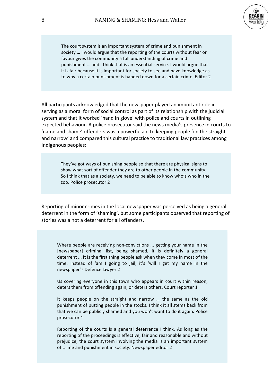

The court system is an important system of crime and punishment in society ... I would argue that the reporting of the courts without fear or favour gives the community a full understanding of crime and punishment ... and I think that is an essential service. I would argue that it is fair because it is important for society to see and have knowledge as to why a certain punishment is handed down for a certain crime. Editor 2

All participants acknowledged that the newspaper played an important role in serving as a moral form of social control as part of its relationship with the judicial system and that it worked 'hand in glove' with police and courts in outlining expected behaviour. A police prosecutor said the news media's presence in courts to 'name and shame' offenders was a powerful aid to keeping people 'on the straight and narrow' and compared this cultural practice to traditional law practices among Indigenous peoples:

They've got ways of punishing people so that there are physical signs to show what sort of offender they are to other people in the community. So I think that as a society, we need to be able to know who's who in the zoo. Police prosecutor 2

Reporting of minor crimes in the local newspaper was perceived as being a general deterrent in the form of 'shaming', but some participants observed that reporting of stories was a not a deterrent for all offenders.

Where people are receiving non-convictions ... getting your name in the [newspaper] criminal list, being shamed, it is definitely a general deterrent ... it is the first thing people ask when they come in most of the time. Instead of 'am I going to jail; it's 'will I get my name in the newspaper'? Defence lawyer 2

Us covering everyone in this town who appears in court within reason, deters them from offending again, or deters others. Court reporter 1

It keeps people on the straight and narrow ... the same as the old punishment of putting people in the stocks. I think it all stems back from that we can be publicly shamed and you won't want to do it again. Police prosecutor 1

Reporting of the courts is a general deterrence I think. As long as the reporting of the proceedings is effective, fair and reasonable and without prejudice, the court system involving the media is an important system of crime and punishment in society. Newspaper editor 2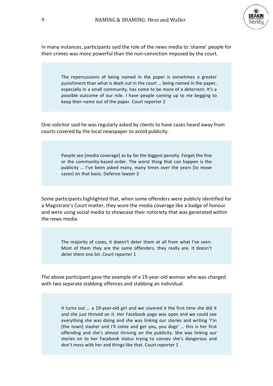

In many instances, participants said the role of the news media to 'shame' people for their crimes was more powerful than the non-conviction imposed by the court.

> The repercussions of being named in the paper is sometimes a greater punishment than what is dealt out in the court ... being named in the paper, especially in a small community, has come to be more of a deterrent. It's a possible outcome of our role. I have people coming up to me begging to keep their name out of the paper. Court reporter 2

One solicitor said he was regularly asked by clients to have cases heard away from courts covered by the local newspaper to avoid publicity.

> People see [media coverage] as by far the biggest penalty. Forget the fine or the community-based order. The worst thing that can happen is the publicity ... I've been asked many, many times over the years [to move cases] on that basis. Defence lawyer 2

Some participants highlighted that, when some offenders were publicly identified for a Magistrate's Court matter, they wore the media coverage like a badge of honour and were using social media to showcase their notoriety that was generated within the news media.

> The majority of cases, it doesn't deter them at all from what I've seen. Most of them they are the same offenders, they really are. It doesn't deter them one bit. Court reporter 1

The above participant gave the example of a 19-year-old woman who was charged with two separate stabbing offences and stabbing an individual.

> It turns out ... a 19-year-old girl and we covered it the first time she did it and she just thrived on it. Her Facebook page was open and we could see everything she was doing and she was linking our stories and writing 'I'm [the town] slasher and I'll come and get you, you dogs' ... this is her first offending and she's almost thriving on the publicity. She was linking our stories on to her Facebook status trying to convey she's dangerous and don't mess with her and things like that. Court reporter 1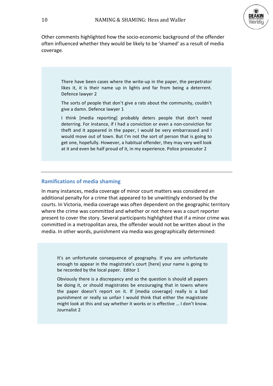

Other comments highlighted how the socio-economic background of the offender often influenced whether they would be likely to be 'shamed' as a result of media coverage.

> There have been cases where the write-up in the paper, the perpetrator likes it, it is their name up in lights and far from being a deterrent. Defence lawver 2

> The sorts of people that don't give a rats about the community, couldn't give a damn. Defence lawyer 1

> I think [media reporting] probably deters people that don't need deterring. For instance, if I had a conviction or even a non-conviction for theft and it appeared in the paper, I would be very embarrassed and I would move out of town. But I'm not the sort of person that is going to get one, hopefully. However, a habitual offender, they may very well look at it and even be half proud of it, in my experience. Police prosecutor 2

### **Ramifications of media shaming**

In many instances, media coverage of minor court matters was considered an additional penalty for a crime that appeared to be unwittingly endorsed by the courts. In Victoria, media coverage was often dependent on the geographic territory where the crime was committed and whether or not there was a court reporter present to cover the story. Several participants highlighted that if a minor crime was committed in a metropolitan area, the offender would not be written about in the media. In other words, punishment via media was geographically determined:

It's an unfortunate consequence of geography. If you are unfortunate enough to appear in the magistrate's court [here] your name is going to be recorded by the local paper. Editor 1

Obviously there is a discrepancy and so the question is should all papers be doing it, or should magistrates be encouraging that in towns where the paper doesn't report on it. If [media coverage] really is a bad punishment or really so unfair I would think that either the magistrate might look at this and say whether it works or is effective ... I don't know. Journalist 2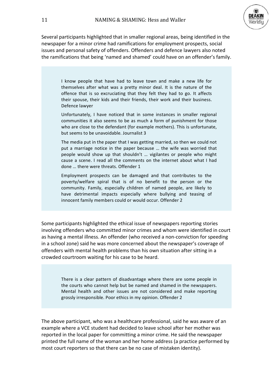

Several participants highlighted that in smaller regional areas, being identified in the newspaper for a minor crime had ramifications for employment prospects, social issues and personal safety of offenders. Offenders and defence lawyers also noted the ramifications that being 'named and shamed' could have on an offender's family.

> I know people that have had to leave town and make a new life for themselves after what was a pretty minor deal. It is the nature of the offence that is so excruciating that they felt they had to go. It affects their spouse, their kids and their friends, their work and their business. Defence lawyer

Unfortunately, I have noticed that in some instances in smaller regional communities it also seems to be as much a form of punishment for those who are close to the defendant (for example mothers). This is unfortunate, but seems to be unavoidable. Journalist 3

The media put in the paper that I was getting married, so then we could not put a marriage notice in the paper because ... the wife was worried that people would show up that shouldn't ... vigilantes or people who might cause a scene. I read all the comments on the internet about what I had done ... there were threats. Offender 1

Employment prospects can be damaged and that contributes to the poverty/welfare spiral that is of no benefit to the person or the community. Family, especially children of named people, are likely to have detrimental impacts especially where bullying and teasing of innocent family members could or would occur. Offender 2

Some participants highlighted the ethical issue of newspapers reporting stories involving offenders who committed minor crimes and whom were identified in court as having a mental illness. An offender (who received a non-conviction for speeding in a school zone) said he was more concerned about the newspaper's coverage of offenders with mental health problems than his own situation after sitting in a crowded courtroom waiting for his case to be heard.

> There is a clear pattern of disadvantage where there are some people in the courts who cannot help but be named and shamed in the newspapers. Mental health and other issues are not considered and make reporting grossly irresponsible. Poor ethics in my opinion. Offender 2

The above participant, who was a healthcare professional, said he was aware of an example where a VCE student had decided to leave school after her mother was reported in the local paper for committing a minor crime. He said the newspaper printed the full name of the woman and her home address (a practice performed by most court reporters so that there can be no case of mistaken identity).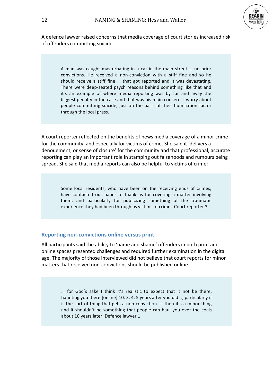

A defence lawyer raised concerns that media coverage of court stories increased risk of offenders committing suicide.

A man was caught masturbating in a car in the main street ... no prior convictions. He received a non-conviction with a stiff fine and so he should receive a stiff fine ... that got reported and it was devastating. There were deep-seated psych reasons behind something like that and it's an example of where media reporting was by far and away the biggest penalty in the case and that was his main concern. I worry about people committing suicide, just on the basis of their humiliation factor through the local press.

A court reporter reflected on the benefits of news media coverage of a minor crime for the community, and especially for victims of crime. She said it 'delivers a denouement, or sense of closure' for the community and that professional, accurate reporting can play an important role in stamping out falsehoods and rumours being spread. She said that media reports can also be helpful to victims of crime:

> Some local residents, who have been on the receiving ends of crimes, have contacted our paper to thank us for covering a matter involving them, and particularly for publicizing something of the traumatic experience they had been through as victims of crime. Court reporter 3

### **Reporting non-convictions online versus print**

All participants said the ability to 'name and shame' offenders in both print and online spaces presented challenges and required further examination in the digital age. The majority of those interviewed did not believe that court reports for minor matters that received non-convictions should be published online.

> ... for God's sake I think it's realistic to expect that it not be there, haunting you there [online] 10, 3, 4, 5 years after you did it, particularly if is the sort of thing that gets a non conviction  $-$  then it's a minor thing and it shouldn't be something that people can haul you over the coals about 10 years later. Defence lawyer 1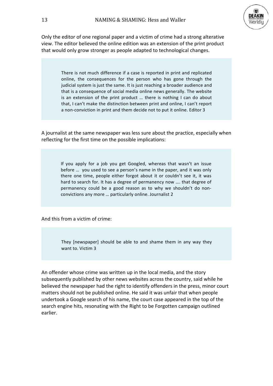

Only the editor of one regional paper and a victim of crime had a strong alterative view. The editor believed the online edition was an extension of the print product that would only grow stronger as people adapted to technological changes.

> There is not much difference if a case is reported in print and replicated online, the consequences for the person who has gone through the judicial system is just the same. It is just reaching a broader audience and that is a consequence of social media online news generally. The website is an extension of the print product ... there is nothing I can do about that, I can't make the distinction between print and online, I can't report a non-conviction in print and them decide not to put it online. Editor 3

A journalist at the same newspaper was less sure about the practice, especially when reflecting for the first time on the possible implications:

> If you apply for a job you get Googled, whereas that wasn't an issue before ... you used to see a person's name in the paper, and it was only there one time, people either forgot about it or couldn't see it, it was hard to search for. It has a degree of permanency now .... that degree of permanency could be a good reason as to why we shouldn't do nonconvictions any more ... particularly online. Journalist 2

And this from a victim of crime:

They [newspaper] should be able to and shame them in any way they want to. Victim 3

An offender whose crime was written up in the local media, and the story subsequently published by other news websites across the country, said while he believed the newspaper had the right to identify offenders in the press, minor court matters should not be published online. He said it was unfair that when people undertook a Google search of his name, the court case appeared in the top of the search engine hits, resonating with the Right to be Forgotten campaign outlined earlier.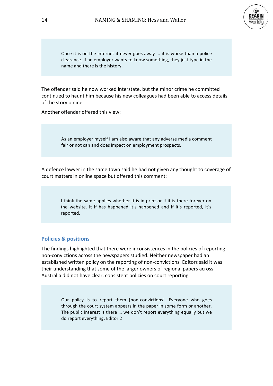

Once it is on the internet it never goes away ... it is worse than a police clearance. If an employer wants to know something, they just type in the name and there is the history.

The offender said he now worked interstate, but the minor crime he committed continued to haunt him because his new colleagues had been able to access details of the story online.

Another offender offered this view:

As an employer myself I am also aware that any adverse media comment fair or not can and does impact on employment prospects.

A defence lawyer in the same town said he had not given any thought to coverage of court matters in online space but offered this comment:

I think the same applies whether it is in print or if it is there forever on the website. It if has happened it's happened and if it's reported, it's reported.

### **Policies & positions**

The findings highlighted that there were inconsistences in the policies of reporting non-convictions across the newspapers studied. Neither newspaper had an established written policy on the reporting of non-convictions. Editors said it was their understanding that some of the larger owners of regional papers across Australia did not have clear, consistent policies on court reporting.

> Our policy is to report them [non-convictions]. Everyone who goes through the court system appears in the paper in some form or another. The public interest is there ... we don't report everything equally but we do report everything. Editor 2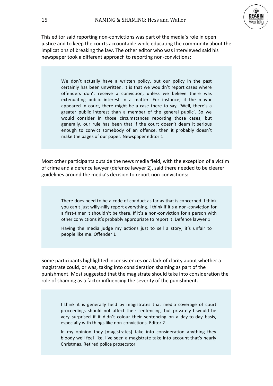

This editor said reporting non-convictions was part of the media's role in open justice and to keep the courts accountable while educating the community about the implications of breaking the law. The other editor who was interviewed said his newspaper took a different approach to reporting non-convictions:

> We don't actually have a written policy, but our policy in the past certainly has been unwritten. It is that we wouldn't report cases where offenders don't receive a conviction, unless we believe there was extenuating public interest in a matter. For instance, if the mayor appeared in court, there might be a case there to say, 'Well, there's a greater public interest than a member of the general public'. So we would consider in those circumstances reporting those cases, but generally, our rule has been that if the court doesn't deem it serious enough to convict somebody of an offence, then it probably doesn't make the pages of our paper. Newspaper editor 1

Most other participants outside the news media field, with the exception of a victim of crime and a defence lawyer (defence lawyer 2), said there needed to be clearer guidelines around the media's decision to report non-convictions:

> There does need to be a code of conduct as far as that is concerned. I think you can't just willy-nilly report everything. I think if it's a non-conviction for a first-timer it shouldn't be there. If it's a non-conviction for a person with other convictions it's probably appropriate to report it. Defence lawyer 1

Having the media judge my actions just to sell a story, it's unfair to people like me. Offender 1

Some participants highlighted inconsistences or a lack of clarity about whether a magistrate could, or was, taking into consideration shaming as part of the punishment. Most suggested that the magistrate should take into consideration the role of shaming as a factor influencing the severity of the punishment.

> I think it is generally held by magistrates that media coverage of court proceedings should not affect their sentencing, but privately I would be very surprised if it didn't colour their sentencing on a day-to-day basis, especially with things like non-convictions. Editor 2

> In my opinion they [magistrates] take into consideration anything they bloody well feel like. I've seen a magistrate take into account that's nearly Christmas. Retired police prosecutor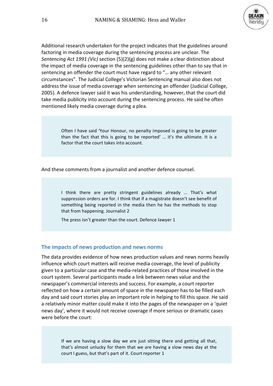

Additional research undertaken for the project indicates that the guidelines around factoring in media coverage during the sentencing process are unclear. The Sentencing Act 1991 (Vic) section (5)(2)(g) does not make a clear distinction about the impact of media coverage in the sentencing guidelines other than to say that in sentencing an offender the court must have regard to "... any other relevant circumstances". The Judicial College's Victorian Sentencing manual also does not address the issue of media coverage when sentencing an offender (Judicial College, 2005). A defence lawyer said it was his understanding, however, that the court did take media publicity into account during the sentencing process. He said he often mentioned likely media coverage during a plea.

> Often I have said 'Your Honour, no penalty imposed is going to be greater than the fact that this is going to be reported'... it's the ultimate. It is a factor that the court takes into account.

And these comments from a journalist and another defence counsel.

I think there are pretty stringent guidelines already ... That's what suppression orders are for. I think that if a magistrate doesn't see benefit of something being reported in the media then he has the methods to stop that from happening. Journalist 2

The press isn't greater than the court. Defence lawyer 1

### The impacts of news production and news norms

The data provides evidence of how news production values and news norms heavily influence which court matters will receive media coverage, the level of publicity given to a particular case and the media-related practices of those involved in the court system. Several participants made a link between news value and the newspaper's commercial interests and success. For example, a court reporter reflected on how a certain amount of space in the newspaper has to be filled each day and said court stories play an important role in helping to fill this space. He said a relatively minor matter could make it into the pages of the newspaper on a 'quiet news day', where it would not receive coverage if more serious or dramatic cases were before the court:

> If we are having a slow day we are just sitting there and getting all that, that's almost unlucky for them that we are having a slow news day at the court I guess, but that's part of it. Court reporter 1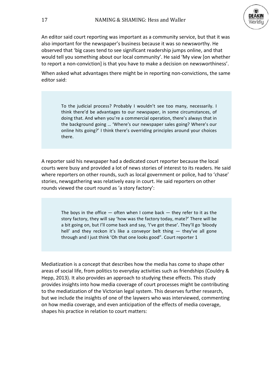

An editor said court reporting was important as a community service, but that it was also important for the newspaper's business because it was so newsworthy. He observed that 'big cases tend to see significant readership jumps online, and that would tell you something about our local community'. He said 'My view [on whether to report a non-conviction] is that you have to make a decision on newsworthiness'.

When asked what advantages there might be in reporting non-convictions, the same editor said:

> To the judicial process? Probably I wouldn't see too many, necessarily. I think there'd be advantages to our newspaper, in some circumstances, of doing that. And when you're a commercial operation, there's always that in the background going ... 'Where's our newspaper sales going? Where's our online hits going?' I think there's overriding principles around your choices there.

A reporter said his newspaper had a dedicated court reporter because the local courts were busy and provided a lot of news stories of interest to its readers. He said where reporters on other rounds, such as local government or police, had to 'chase' stories, newsgathering was relatively easy in court. He said reporters on other rounds viewed the court round as 'a story factory':

> The boys in the office  $-$  often when I come back  $-$  they refer to it as the story factory, they will say 'how was the factory today, mate?' There will be a bit going on, but I'll come back and say, 'I've got these'. They'll go 'bloody hell' and they reckon it's like a conveyor belt thing  $-$  they've all gone through and I just think 'Oh that one looks good". Court reporter 1

Mediatization is a concept that describes how the media has come to shape other areas of social life, from politics to everyday activities such as friendships (Couldry & Hepp, 2013). It also provides an approach to studying these effects. This study provides insights into how media coverage of court processes might be contributing to the mediatization of the Victorian legal system. This deserves further research, but we include the insights of one of the laywers who was interviewed, commenting on how media coverage, and even anticipation of the effects of media coverage, shapes his practice in relation to court matters: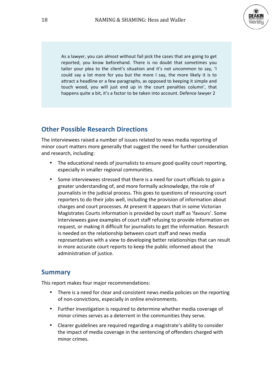

As a lawyer, you can almost without fail pick the cases that are going to get reported, you know beforehand. There is no doubt that sometimes you tailor your plea to the client's situation and it's not uncommon to say, 'I could say a lot more for you but the more I say, the more likely it is to attract a headline or a few paragraphs, as opposed to keeping it simple and touch wood, you will just end up in the court penalties column', that happens quite a bit, it's a factor to be taken into account. Defence lawyer 2

### **Other Possible Research Directions**

The interviewees raised a number of issues related to news media reporting of minor court matters more generally that suggest the need for further consideration and research, including:

- The educational needs of journalists to ensure good quality court reporting, especially in smaller regional communities.
- $\bullet$ Some interviewees stressed that there is a need for court officials to gain a greater understanding of, and more formally acknowledge, the role of journalists in the judicial process. This goes to questions of resourcing court reporters to do their jobs well, including the provision of information about charges and court processes. At present it appears that in some Victorian Magistrates Courts information is provided by court staff as 'favours'. Some interviewees gave examples of court staff refusing to provide information on request, or making it difficult for journalists to get the information. Research is needed on the relationship between court staff and news media representatives with a view to developing better relationships that can result in more accurate court reports to keep the public informed about the administration of justice.

### **Summary**

This report makes four major recommendations:

- There is a need for clear and consistent news media policies on the reporting of non-convictions, especially in online environments.
- Further investigation is required to determine whether media coverage of minor crimes serves as a deterrent in the communities they serve.
- $\bullet$ Clearer guidelines are required regarding a magistrate's ability to consider the impact of media coverage in the sentencing of offenders charged with minor crimes.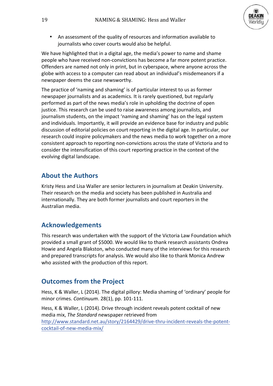

• An assessment of the quality of resources and information available to journalists who cover courts would also be helpful.

We have highlighted that in a digital age, the media's power to name and shame people who have received non-convictions has become a far more potent practice. Offenders are named not only in print, but in cyberspace, where anyone across the globe with access to a computer can read about an individual's misdemeanors if a newspaper deems the case newsworthy.

The practice of 'naming and shaming' is of particular interest to us as former newspaper journalists and as academics. It is rarely questioned, but regularly performed as part of the news media's role in upholding the doctrine of open justice. This research can be used to raise awareness among journalists, and journalism students, on the impact 'naming and shaming' has on the legal system and individuals. Importantly, it will provide an evidence base for industry and public discussion of editorial policies on court reporting in the digital age. In particular, our research could inspire policymakers and the news media to work together on a more consistent approach to reporting non-convictions across the state of Victoria and to consider the intensification of this court reporting practice in the context of the evolving digital landscape.

### **About the Authors**

Kristy Hess and Lisa Waller are senior lecturers in journalism at Deakin University. Their research on the media and society has been published in Australia and internationally. They are both former journalists and court reporters in the Australian media

### **Acknowledgements**

This research was undertaken with the support of the Victoria Law Foundation which provided a small grant of \$5000. We would like to thank research assistants Ondrea Howie and Angela Blakston, who conducted many of the interviews for this research and prepared transcripts for analysis. We would also like to thank Monica Andrew who assisted with the production of this report.

### **Outcomes from the Project**

Hess, K & Waller, L (2014). The digital pillory: Media shaming of 'ordinary' people for minor crimes. Continuum. 28(1), pp. 101-111.

Hess, K & Waller, L (2014). Drive through incident reveals potent cocktail of new media mix, The Standard newspaper retrieved from http://www.standard.net.au/story/2164429/drive-thru-incident-reveals-the-potentcocktail-of-new-media-mix/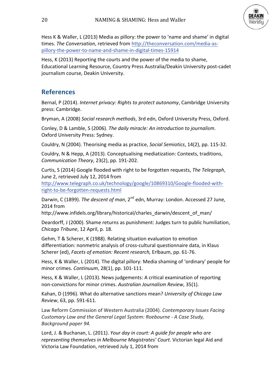

Hess K & Waller, L (2013) Media as pillory: the power to 'name and shame' in digital times. The Conversation, retrieved from http://theconversation.com/media-aspillory-the-power-to-name-and-shame-in-digital-times-15914

Hess, K (2013) Reporting the courts and the power of the media to shame, Educational Learning Resource, Country Press Australia/Deakin University post-cadet journalism course, Deakin University.

### **References**

Bernal, P (2014). Internet privacy: Rights to protect autonomy, Cambridge University press: Cambridge.

Bryman, A (2008) Social research methods, 3rd edn, Oxford University Press, Oxford.

Conley, D & Lamble, S (2006). The daily miracle: An introduction to journalism. Oxford University Press: Sydney.

Couldry, N (2004). Theorising media as practice, Social Semiotics, 14(2), pp. 115-32.

Couldry, N & Hepp, A (2013). Conceptualising mediatization: Contexts, traditions, Communication Theory, 23(2), pp. 191-202.

Curtis, S (2014) Google flooded with right to be forgotten requests, The Telegraph, June 2, retrieved July 12, 2014 from

http://www.telegraph.co.uk/technology/google/10869310/Google-flooded-withright-to-be-forgotten-requests.html

Darwin, C (1899). The descent of man, 2<sup>nd</sup> edn, Murray: London. Accessed 27 June, 2014 from

http://www.infidels.org/library/historical/charles\_darwin/descent\_of\_man/

Deardorff, J (2000). Shame returns as punishment: Judges turn to public humiliation, Chicago Tribune, 12 April, p. 18.

Gehm. T & Scherer, K (1988). Relating situation evaluation to emotion differentiation: nonmetric analysis of cross-cultural questionnaire data, in Klaus Scherer (ed), Facets of emotion: Recent research, Erlbaum, pp. 61-76.

Hess, K & Waller, L (2014). The digital pillory: Media shaming of 'ordinary' people for minor crimes. Continuum, 28(1), pp. 101-111.

Hess, K & Waller, L (2013). News judgements: A critical examination of reporting non-convictions for minor crimes. Australian Journalism Review, 35(1).

Kahan, D (1996). What do alternative sanctions mean? University of Chicago Law Review, 63, pp. 591-611.

Law Reform Commission of Western Australia (2004). Contemporary Issues Facing Customary Law and the General Legal System: Roebourne - A Case Study, Background paper 94.

Lord, J. & Buchanan, L. (2011). Your day in court: A guide for people who are representing themselves in Melbourne Magistrates' Court. Victorian legal Aid and Victoria Law Foundation, retrieved July 1, 2014 from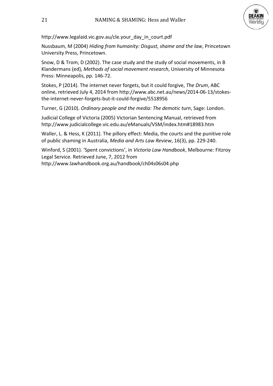

http://www.legalaid.vic.gov.au/cle.your\_day\_in\_court.pdf

Nussbaum, M (2004) Hiding from humanity: Disgust, shame and the law, Princetown University Press, Princetown.

Snow, D & Trom, D (2002). The case study and the study of social movements, in B Klandermans (ed), Methods of social movement research, University of Minnesota Press: Minneapolis, pp. 146-72.

Stokes, P (2014). The internet never forgets, but it could forgive, The Drum, ABC online, retrieved July 4, 2014 from http://www.abc.net.au/news/2014-06-13/stokesthe-internet-never-forgets-but-it-could-forgive/5518956

Turner, G (2010). Ordinary people and the media: The demotic turn, Sage: London.

Judicial College of Victoria (2005) Victorian Sentencing Manual, retrieved from http://www.judicialcollege.vic.edu.au/eManuals/VSM/index.htm#18983.htm

Waller, L. & Hess, K (2011). The pillory effect: Media, the courts and the punitive role of public shaming in Australia, Media and Arts Law Review, 16(3), pp. 229-240.

Winford, S (2001). 'Spent convictions', in Victoria Law Handbook, Melbourne: Fitzroy Legal Service. Retrieved June, 7, 2012 from http://www.lawhandbook.org.au/handbook/ch04s06s04.php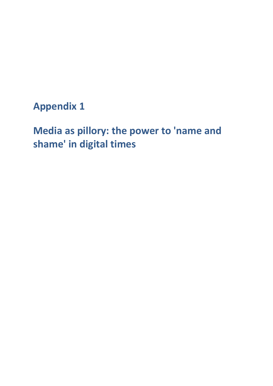# **Appendix 1**

# Media as pillory: the power to 'name and shame' in digital times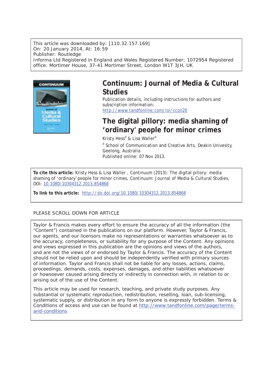This article was downloaded by: [110.32.157.169] On: 20 January 2014, At: 16:59 Publisher: Routledge Informa Ltd Registered in England and Wales Registered Number: 1072954 Registered office: Mortimer House, 37-41 Mortimer Street, London W1T 3JH, UK



### **Continuum: Journal of Media & Cultural Studies**

Publication details, including instructions for authors and subscription information: http://www.tandfonline.com/loi/ccon20

### **The digital pillory: media shaming of 'ordinary' people for minor crimes**

Kristy Hess<sup>a</sup> & Lisa Waller<sup>a</sup>

<sup>a</sup> School of Communication and Creative Arts, Deakin Univesity, Geelong, Australia Published online: 07 Nov 2013.

**To cite this article:** Kristy Hess & Lisa Waller , Continuum (2013): The digital pillory: media shaming of 'ordinary' people for minor crimes, Continuum: Journal of Media & Cultural Studies, DOI: 10.1080/10304312.2013.854868

**To link to this article:** http://dx.doi.org/10.1080/10304312.2013.854868

### PLEASE SCROLL DOWN FOR ARTICLE

Taylor & Francis makes every effort to ensure the accuracy of all the information (the "Content") contained in the publications on our platform. However, Taylor & Francis, our agents, and our licensors make no representations or warranties whatsoever as to the accuracy, completeness, or suitability for any purpose of the Content. Any opinions and views expressed in this publication are the opinions and views of the authors, and are not the views of or endorsed by Taylor & Francis. The accuracy of the Content should not be relied upon and should be independently verified with primary sources of information. Taylor and Francis shall not be liable for any losses, actions, claims, proceedings, demands, costs, expenses, damages, and other liabilities whatsoever or howsoever caused arising directly or indirectly in connection with, in relation to or arising out of the use of the Content.

This article may be used for research, teaching, and private study purposes. Any substantial or systematic reproduction, redistribution, reselling, loan, sub-licensing, systematic supply, or distribution in any form to anyone is expressly forbidden. Terms & Conditions of access and use can be found at http://www.tandfonline.com/page/termsand-conditions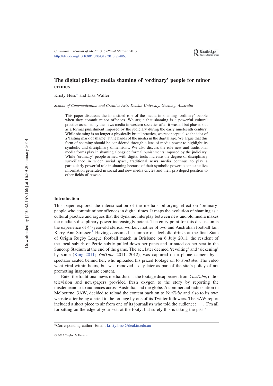Routledge

### The digital pillory: media shaming of 'ordinary' people for minor crimes

Kristy Hess\* and Lisa Waller

School of Communication and Creative Arts, Deakin Univesity, Geelong, Australia

This paper discusses the intensified role of the media in shaming 'ordinary' people when they commit minor offences. We argue that shaming is a powerful cultural practice assumed by the news media in western societies after it was all but phased out as a formal punishment imposed by the judiciary during the early nineteenth century. While shaming is no longer a physically brutal practice, we reconceptualize the idea of a 'lasting mark of shame' at the hands of the media in the digital age. We argue that this form of shaming should be considered through a lens of media power to highlight its symbolic and disciplinary dimensions. We also discuss the role new and traditional media forms play in shaming alongside formal punishments imposed by the judiciary. While 'ordinary' people armed with digital tools increase the degree of disciplinary surveillance in wider social space, traditional news media continue to play a particularly powerful role in shaming because of their symbolic power to contextualize information generated in social and new media circles and their privileged position to other fields of power.

### Introduction

This paper explores the intensification of the media's pillorying effect on 'ordinary' people who commit minor offences in digital times. It maps the evolution of shaming as a cultural practice and argues that the dynamic interplay between new and old media makes the media's disciplinary power increasingly potent. The entry point for this discussion is the experience of 44-year-old clerical worker, mother of two and Australian football fan, Kerry Ann Strasser.<sup>1</sup> Having consumed a number of alcoholic drinks at the final State of Origin Rugby League football match in Brisbane on 6 July 2011, the resident of the local suburb of Petrie subtly pulled down her pants and urinated on her seat in the Suncorp Stadium at the end of the game. The act, later deemed 'revolting' and 'sickening' by some (King 2011; YouTube 2011, 2012), was captured on a phone camera by a spectator seated behind her, who uploaded his prized footage on to YouTube. The video went viral within hours, but was removed a day later as part of the site's policy of not promoting inappropriate content.

Enter the traditional news media. Just as the footage disappeared from YouTube, radio, television and newspapers provided fresh oxygen to the story by reporting the misdemeanour to audiences across Australia, and the globe. A commercial radio station in Melbourne, 3AW, decided to reload the content back on to YouTube and also to its own website after being alerted to the footage by one of its Twitter followers. The 3AW report included a short piece to air from one of its journalists who told the audience: ' ... I'm all for sitting on the edge of your seat at the footy, but surely this is taking the piss!'

<sup>\*</sup>Corresponding author. Email: kristy.hess@deakin.edu.au

 $© 2013 Taylor & Francis$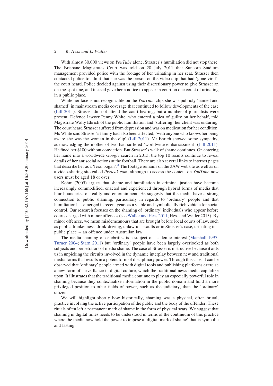### 2 K. Hess and L. Waller

With almost 30,000 views on *YouTube* alone, Strasser's humiliation did not stop there. The Brisbane Magistrates Court was told on 28 July 2011 that Suncorp Stadium management provided police with the footage of her urinating in her seat. Strasser then contacted police to admit that she was the person on the video clip that had 'gone viral', the court heard. Police decided against using their discretionary power to give Strasser an on-the-spot fine, and instead gave her a notice to appear in court on one count of urinating in a public place.

While her face is not recognizable on the *YouTube* clip, she was publicly 'named and shamed' in mainstream media coverage that continued to follow developments of the case (Lill 2011). Strasser did not attend the court hearing, but a number of journalists were present. Defence lawyer Penny White, who entered a plea of guilty on her behalf, told Magistrate Wally Ehrich of the public humiliation and 'suffering' her client was enduring. The court heard Strasser suffered from depression and was on medication for her condition. Ms White said Strasser's family had also been affected, 'with anyone who knows her being aware she was the woman in the clip' (Lill 2011). Mr Ehrich showed some sympathy, acknowledging the mother of two had suffered 'worldwide embarrassment' (Lill 2011). He fined her \$100 without conviction. But Strasser's walk of shame continues. On entering her name into a worldwide *Google* search in 2013, the top 10 results continue to reveal details of her antisocial actions at the football. There are also several links to internet pages that describe her as a 'feral bogan'.<sup>2</sup> The footage remains on the 3AW website as well as on a video-sharing site called liveleak.com, although to access the content on YouTube now users must be aged 18 or over.

Kohm (2009) argues that shame and humiliation in criminal justice have become increasingly commodified, enacted and experienced through hybrid forms of media that blur boundaries of reality and entertainment. He suggests that the media have a strong connection to public shaming, particularly in regards to 'ordinary' people and that humiliation has emerged in recent years as a viable and symbolically rich vehicle for social control. Our research focuses on the shaming of 'ordinary' individuals who appear before courts charged with minor offences (see Waller and Hess 2011; Hess and Waller 2013). By minor offences, we mean misdemeanours that are brought before local courts of law, such as public drunkenness, drink-driving, unlawful assaults or in Strasser's case, urinating in a public place – an offence under Australian law.

The media shaming of celebrities is a subject of academic interest (Marshall 1997; Turner 2004; Starn 2011) but 'ordinary' people have been largely overlooked as both subjects and perpetrators of media shame. The case of Strasser is instructive because it aids us in unpicking the circuits involved in the dynamic interplay between new and traditional media forms that results in a potent form of disciplinary power. Through this case, it can be observed that 'ordinary' people armed with digital tools and publishing platforms exercise a new form of surveillance in digital culture, which the traditional news media capitalize upon. It illustrates that the traditional media continue to play an especially powerful role in shaming because they contextualize information in the public domain and hold a more privileged position to other fields of power, such as the judiciary, than the 'ordinary' citizen.

We will highlight shortly how historically, shaming was a physical, often brutal, practice involving the active participation of the public and the body of the offender. These rituals often left a permanent mark of shame in the form of physical scars. We suggest that shaming in digital times needs to be understood in terms of the continuum of this practice where the media now hold the power to impose a 'digital mark of shame' that is symbolic and lasting.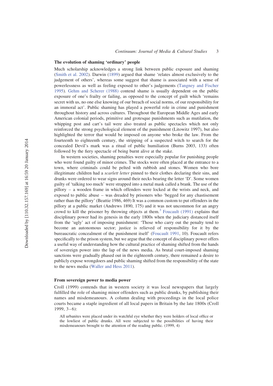### The evolution of shaming 'ordinary' people

Much scholarship acknowledges a strong link between public exposure and shaming (Smith et al. 2002). Darwin (1899) argued that shame 'relates almost exclusively to the judgement of others', whereas some suggest that shame is associated with a sense of powerlessness as well as feeling exposed to other's judgements (Tangney and Fischer 1995). Gehm and Scherer (1988) contend shame is usually dependent on the public exposure of one's frailty or failing, as opposed to the concept of guilt which 'remains secret with us, no one else knowing of our breach of social norms, of our responsibility for an immoral act'. Public shaming has played a powerful role in crime and punishment throughout history and across cultures. Throughout the European Middle Ages and early American colonial periods, primitive and grotesque punishments such as mutilation, the whipping post and cart's tail were also treated as public spectacles which not only reinforced the strong psychological element of the punishment (Litowitz 1997), but also highlighted the terror that would be imposed on anyone who broke the law. From the fourteenth to eighteenth century, the stripping of a suspected witch to search for the concealed Devil's mark was a ritual of public humiliation (Burns 2003, 133) often followed by the fiery spectacle of being burnt alive at the stake.

In western societies, shaming penalties were especially popular for punishing people who were found guilty of minor crimes. The stocks were often placed at the entrance to a town, where criminals could be pelted with rubbish and stones. Women who bore illegitimate children had a scarlett letter pinned to their clothes declaring their sins, and drunks were ordered to wear signs around their necks bearing the letter 'D'. Some women guilty of 'talking too much' were strapped into a metal mask called a brank. The use of the pillory – a wooden frame in which offenders were locked at the wrists and neck, and exposed to public abuse – was dreaded by prisoners who 'begged for any chastisement rather than the pillory' (Beattie 1986, 469) It was a common custom to put offenders in the pillory at a public market (Andrews 1890, 175) and it was not uncommon for an angry crowd to kill the prisoner by throwing objects at them.<sup>3</sup> Foucault (1991) explains that disciplinary power had its genesis in the early 1800s when the judiciary distanced itself from the 'ugly' act of imposing punishment: 'Those who carry out the penalty tend to become an autonomous sector; justice is relieved of responsibility for it by the bureaucratic concealment of the punishment itself' (Foucault 1991, 10). Foucault refers specifically to the prison system, but we argue that the concept of disciplinary power offers a useful way of understanding how the cultural practice of shaming shifted from the hands of sovereign power into the lap of the news media. As brutal court-imposed shaming sanctions were gradually phased out in the eighteenth century, there remained a desire to publicly expose wrongdoers and public shaming shifted from the responsibility of the state to the news media (Waller and Hess 2011).

### From sovereign power to media power

Croll (1999) contends that in western society it was local newspapers that largely fulfilled the role of shaming minor offenders such as public drunks, by publishing their names and misdemeanours. A column dealing with proceedings in the local police courts became a staple ingredient of all local papers in Britain by the late 1800s (Croll 1999, 3–6):

All urbanites were placed under its watchful eye whether they were holders of local office or the lowliest of public drunks. All were subjected to the possibilities of having their misdemeanours brought to the attention of the reading public. (1999, 4)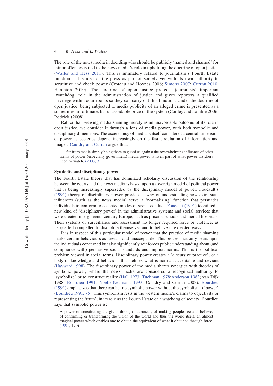### 4 K. Hess and L. Waller

The role of the news media in deciding who should be publicly 'named and shamed' for minor offences is tied to the news media's role in upholding the doctrine of open justice (Waller and Hess 2011). This is intimately related to journalism's Fourth Estate function – the idea of the press as part of society yet with its own authority to scrutinize and check power (Croteau and Hoynes 2006; Simons 2007; Curran 2010; Hampton 2010). The doctrine of open justice protects journalists' important 'watchdog' role in the administration of justice and gives reporters a qualified privilege within courtrooms so they can carry out this function. Under the doctrine of open justice, being subjected to media publicity of an alleged crime is presented as a sometimes unfortunate, but unavoidable price of the system (Conley and Lamble 2006; Rodrick (2008).

Rather than viewing media shaming merely as an unavoidable outcome of its role in open justice, we consider it through a lens of media power, with both symbolic and disciplinary dimensions. The ascendancy of media is itself considered a central dimension of power as societies depend increasingly on the fast circulation of information and images. Couldry and Curran argue that:

... far from media simply being there to guard us against the overwhelming influence of other forms of power (especially government) media power is itself part of what power watchers need to watch. (2003, 3)

### Symbolic and disciplinary power

The Fourth Estate theory that has dominated scholarly discussion of the relationship between the courts and the news media is based upon a sovereign model of political power that is being increasingly superseded by the disciplinary model of power. Foucault's (1991) theory of disciplinary power provides a way of understanding how extra-state influences (such as the news media) serve a 'normalizing' function that persuades individuals to conform to accepted modes of social conduct. Foucault (1991) identified a new kind of 'disciplinary power' in the administrative systems and social services that were created in eighteenth century Europe, such as prisons, schools and mental hospitals. Their systems of surveillance and assessment no longer required force or violence, as people felt compelled to discipline themselves and to behave in expected ways.

It is in respect of this particular model of power that the practice of media shaming marks certain behaviours as deviant and unacceptable. This process not only bears upon the individuals concerned but also significantly reinforces public understanding about (and compliance with) persuasive social standards and implicit norms. This is the political problem viewed in social terms. Disciplinary power creates a 'discursive practice', or a body of knowledge and behaviour that defines what is normal, acceptable and deviant (Hayward 1998). The disciplinary power of the media shares synergies with theories of symbolic power, where the news media are considered a recognized authority to 'symbolize' or to construct reality (Hall 1973; Tuchman 1978;Anderson 1983; van Dijk 1988; Bourdieu 1991; Noelle-Neumann 1993; Couldry and Curran 2003). Bourdieu (1991) emphasizes that there can be 'no symbolic power without the symbolism of power' (Bourdieu 1991, 75). This symbolism rests in the western media's claims to objectivity or representing the 'truth', in its role as the Fourth Estate or a watchdog of society. Bourdieu says that symbolic power is:

A power of constituting the given through utterances, of making people see and believe, of confirming or transforming the vision of the world and thus the world itself, an almost magical power which enables one to obtain the equivalent of what it obtained through force. (1991, 170)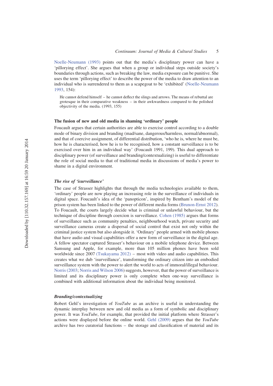Noelle-Neumann (1993) points out that the media's disciplinary power can have a 'pillorying effect'. She argues that when a group or individual steps outside society's boundaries through actions, such as breaking the law, media exposure can be punitive. She uses the term 'pillorying effect' to describe the power of the media to draw attention to an individual who is surrendered to them as a scapegoat to be 'exhibited' (Noelle-Neumann 1993, 154):

He cannot defend himself – he cannot deflect the slings and arrows. The means of rebuttal are grotesque in their comparative weakness – in their awkwardness compared to the polished objectivity of the media. (1993, 155)

### The fusion of new and old media in shaming 'ordinary' people

Foucault argues that certain authorities are able to exercise control according to a double mode of binary division and branding (mad/sane, dangerous/harmless, normal/abnormal), and that of coercive assignment, of differential distribution, 'who he is, where he must be, how he is characterised, how he is to be recognised, how a constant surveillance is to be exercised over him in an individual way' (Foucault 1991, 199). This dual approach to disciplinary power (of surveillance and branding/contextualizing) is useful to differentiate the role of social media to that of traditional media in discussions of media's power to shame in a digital environment.

### The rise of 'isurveillance'

The case of Strasser highlights that through the media technologies available to them, 'ordinary' people are now playing an increasing role in the surveillance of individuals in digital space. Foucault's idea of the 'panopticon', inspired by Bentham's model of the prison system has been linked to the power of different media forms (Brunon-Ernst 2012). To Foucault, the courts largely decide what is criminal or unlawful behaviour, but the technique of discipline through coercion is surveillance. Cohen (1985) argues that forms of surveillance such as community penalties, neighbourhood watch, private security and surveillance cameras create a dispersal of social control that exist not only within the criminal justice system but also alongside it. 'Ordinary' people armed with mobile phones that have audio and visual capabilities offer a new form of surveillance in the digital age. A fellow spectator captured Strasser's behaviour on a mobile telephone device. Between Samsung and Apple, for example, more than 105 million phones have been sold worldwide since 2007 (Tsukayama 2012) – most with video and audio capabilities. This creates what we dub 'isurveillance', transforming the ordinary citizen into an embodied surveillance system with the power to alert the world to acts of immoral/illegal behaviour. Norris (2003; Norris and Wilson 2006) suggests, however, that the power of surveillance is limited and its disciplinary power is only complete when one-way surveillance is combined with additional information about the individual being monitored.

### Branding/contextualizing

Robert Gehl's investigation of *YouTube* as an archive is useful in understanding the dynamic interplay between new and old media as a form of symbolic and disciplinary power. It was YouTube, for example, that provided the initial platform where Strasser's actions were displayed before the online world. Gehl (2009) argues that the YouTube archive has two curatorial functions – the storage and classification of material and its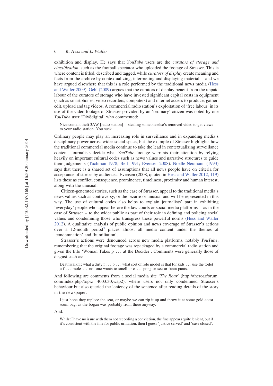### 6 K. Hess and L. Waller

exhibition and display. He says that YouTube users are the *curators of storage and* classification, such as the football spectator who uploaded the footage of Strasser. This is where content is titled, described and tagged, while *curators of display* create meaning and facts from the archive by contextualizing, interpreting and displaying material – and we have argued elsewhere that this is a role performed by the traditional news media (Hess and Waller 2009). Gehl (2009) argues that the curators of display benefit from the unpaid labour of the curators of storage who have invested significant capital costs in equipment (such as smartphones, video recorders, computers) and internet access to produce, gather, edit, upload and tag videos. A commercial radio station's exploitation of 'free labour' in its use of the video footage of Strasser provided by an 'ordinary' citizen was noted by one YouTube user 'Div8digital' who commented:

Nice content theft 3AW [radio station] – stealing someone else's removed video to get views to your radio station. You suck ...

Ordinary people may play an increasing role in surveillance and in expanding media's disciplinary power across wider social space, but the example of Strasser highlights how the traditional commercial media continue to take the lead in contextualizing surveillance content. Journalists decide what YouTube footage warrants their attention by relying heavily on important cultural codes such as news values and narrative structures to guide their judgements (Tuchman 1978; Bell 1991; Evensen 2008). Noelle-Neumann (1993) says that there is a shared set of assumptions that all news people have on criteria for acceptance of stories by audiences. Evensen (2008, quoted in Hess and Waller 2012, 119) lists these as conflict, consequence, prominence, timeliness, proximity and human interest, along with the unusual.

Citizen-generated stories, such as the case of Strasser, appeal to the traditional media's news values such as controversy, or the bizarre or unusual and will be represented in this way. The use of cultural codes also helps to explain journalists' part in exhibiting 'everyday' people who appear before the law courts or social media platforms – as in the case of Strasser – to the wider public as part of their role in defining and policing social values and condemning those who transgress these powerful norms (Hess and Waller 2012). A qualitative analysis of public opinion and news coverage of Strasser's actions over a 12-month period<sup>4</sup> places almost all media content under the themes of 'condemnation' and 'humiliation'.

Strasser's actions were denounced across new media platforms, notably YouTube, remembering that the original footage was repackaged by a commercial radio station and given the title 'Woman Takes p ... at the Decider'. Comments were generally those of disgust such as:

Deathwalkr1: what a dirty f ... b ... what sort of role model is that for kids ... use the toilet u f ... mole ... no -one wants to smell ur c ... pong or see ur fanta pants.

And following are comments from a social media site 'The Roar' (http://theroarforum.  $com/index.php?topic=4003.30;wap2)$ , where users not only condemned Strasser's behaviour but also queried the leniency of the sentence after reading details of the story in the newspaper:

I just hope they replace the seat, or maybe we can rip it up and throw it at some gold coast scum bag, as the bogan was probably from there anyway.

And:

Whilst I have no issue with them not recording a conviction, the fine appears quite lenient, but if it's consistent with the fine for public urination, then I guess 'justice served' and 'case closed'.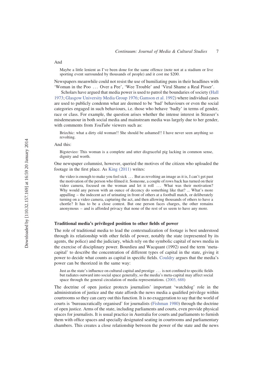Maybe a little lenient as I've been done for the same offence (note not at a stadium or live sporting event surrounded by thousands of people) and it cost me \$200.

Newspapers meanwhile could not resist the use of humiliating puns in their headlines with 'Woman in the Poo ... Over a Pee', 'Wee Trouble' and 'Viral Shame a Real Pisser'.

Scholars have argued that media power is used to patrol the boundaries of society (Hall 1973; Glasgow University Media Group 1976; Gamson et al. 1992) where individual cases are used to publicly condemn what are deemed to be 'bad' behaviours or even the social categories engaged in such behaviours, i.e. those who behave 'badly' in terms of gender, race or class. For example, the question arises whether the intense interest in Strasser's misdemeanour in both social media and mainstream media was largely due to her gender, with comments from *YouTube* viewers such as:

Brizchic: what a dirty old woman!! She should be ashamed!! I have never seen anything so revolting.

And this:

And

Bigstevieo: This woman is a complete and utter disgraceful pig lacking in common sense, dignity and worth.

One newspaper columnist, however, queried the motives of the citizen who uploaded the footage in the first place. As King (2011) writes:

the video is enough to make you feel sick ... But as revolting an image as it is, I can't get past the motivation of the person who filmed it. Someone, a couple of rows back has turned on their video camera, focused on the woman and let it roll ... What was their motivation? Why would any person with an ounce of decency do something like that? ... What's more appalling – the indecent act of urinating in front of others at a football match, or deliberately turning on a video camera, capturing the act, and then allowing thousands of others to have a chortle? It has to be a close contest. But one person faces charges, the other remains anonymous – and is afforded privacy that none of the rest of us seem to have any more.

### Traditional media's privileged position to other fields of power

The role of traditional media to lead the contextualization of footage is best understood through its relationship with other fields of power, notably the state (represented by its agents, the police) and the judiciary, which rely on the symbolic capital of news media in the exercise of disciplinary power. Bourdieu and Wacquant (1992) used the term 'metacapital' to describe the concentration of different types of capital in the state, giving it power to decide what counts as capital in specific fields. Couldry argues that the media's power can be theorized in the same way:

Just as the state's influence on cultural capital and prestige ... is not confined to specific fields but radiates outward into social space generally, so the media's meta-capital may affect social space through the general circulation of media representations. (2003, 688)

The doctrine of open justice protects journalists' important 'watchdog' role in the administration of justice and the state affords the news media a qualified privilege within courtrooms so they can carry out this function. It is no exaggeration to say that the world of courts is 'bureaucratically organised' for journalists (Fishman 1980) through the doctrine of open justice. Arms of the state, including parliaments and courts, even provide physical spaces for journalists. It is usual practice in Australia for courts and parliaments to furnish them with office spaces and specially designated seating in courtrooms and parliamentary chambers. This creates a close relationship between the power of the state and the news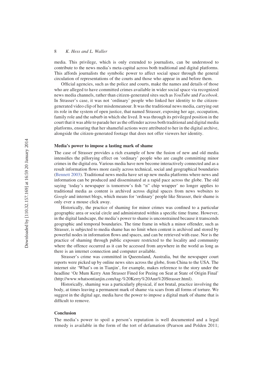### 8 K. Hess and L. Waller

media. This privilege, which is only extended to journalists, can be understood to contribute to the news media's meta-capital across both traditional and digital platforms. This affords journalists the symbolic power to affect social space through the general circulation of representations of the courts and those who appear in and before them.

Official agencies, such as the police and courts, make the names and details of those who are alleged to have committed crimes available in wider social space via recognized news media channels, rather than citizen-generated sites such as *YouTube* and *Facebook*. In Strasser's case, it was not 'ordinary' people who linked her identity to the citizengenerated video clip of her misdemeanour. It was the traditional news media, carrying out its role in the system of open justice, that named Strasser, exposing her age, occupation, family role and the suburb in which she lived. It was through its privileged position in the court that it was able to parade her as the offender across both traditional and digital media platforms, ensuring that her shameful actions were attributed to her in the digital archive, alongside the citizen-generated footage that does not offer viewers her identity.

### Media's power to impose a lasting mark of shame

The case of Strasser provides a rich example of how the fusion of new and old media intensifies the pillorying effect on 'ordinary' people who are caught committing minor crimes in the digital era. Various media have now become interactively connected and as a result information flows more easily across technical, social and geographical boundaries (Bennett 2003). Traditional news media have set up new media platforms where news and information can be produced and disseminated at a rapid pace across the globe. The old saying 'today's newspaper is tomorrow's fish "n" chip wrapper' no longer applies to traditional media as content is archived across digital spaces from news websites to Google and internet blogs, which means for 'ordinary' people like Strasser, their shame is only ever a mouse click away.

Historically, the practice of shaming for minor crimes was confined to a particular geographic area or social circle and administrated within a specific time frame. However, in the digital landscape, the media's power to shame is unconstrained because it transcends geographic and temporal boundaries. The time frame in which a minor offender, such as Strasser, is subjected to media shame has no limit when content is archived and stored by powerful nodes in information flows and spaces, and can be retrieved with ease. Nor is the practice of shaming through public exposure restricted to the locality and community where the offence occurred as it can be accessed from anywhere in the world as long as there is an internet connection and computer available.

Strasser's crime was committed in Queensland, Australia, but the newspaper court reports were picked up by online news sites across the globe, from China to the USA. The internet site 'What's on in Tianjin', for example, makes reference to the story under the headline 'Oz Mum Kerry Ann Strasser Fined for Peeing on Seat at State of Origin Final' (http://www.whatsontianjin.com/tag-%20Kerry%20Ann%20Strasser.html).

Historically, shaming was a particularly physical, if not brutal, practice involving the body, at times leaving a permanent mark of shame via scars from all forms of torture. We suggest in the digital age, media have the power to impose a digital mark of shame that is difficult to remove.

### Conclusion

The media's power to spoil a person's reputation is well documented and a legal remedy is available in the form of the tort of defamation (Pearson and Polden 2011;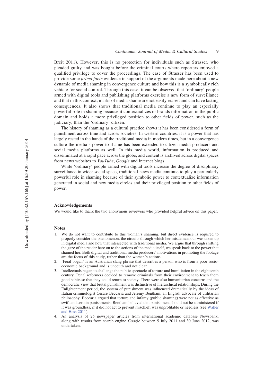Breit 2011). However, this is no protection for individuals such as Strasser, who pleaded guilty and was bought before the criminal courts where reporters enjoyed a qualified privilege to cover the proceedings. The case of Strasser has been used to provide some prima facie evidence in support of the arguments made here about a new dynamic of media shaming in convergence culture and how this is a symbolically rich vehicle for social control. Through this case, it can be observed that 'ordinary' people armed with digital tools and publishing platforms exercise a new form of surveillance and that in this context, marks of media shame are not easily erased and can have lasting consequences. It also shows that traditional media continue to play an especially powerful role in shaming because it contextualizes or brands information in the public domain and holds a more privileged position to other fields of power, such as the judiciary, than the 'ordinary' citizen.

The history of shaming as a cultural practice shows it has been considered a form of punishment across time and across societies. In western countries, it is a power that has largely rested in the hands of the traditional media in modern times, but in a convergence culture the media's power to shame has been extended to citizen media producers and social media platforms as well. In this media world, information is produced and disseminated at a rapid pace across the globe, and content is archived across digital spaces from news websites to YouTube, Google and internet blogs.

While 'ordinary' people armed with digital tools increase the degree of disciplinary surveillance in wider social space, traditional news media continue to play a particularly powerful role in shaming because of their symbolic power to contextualize information generated in social and new media circles and their privileged position to other fields of power.

### Acknowledgements

We would like to thank the two anonymous reviewers who provided helpful advice on this paper.

### Notes

- 1. We do not want to contribute to this woman's shaming, but direct evidence is required to properly consider the phenomenon, the circuits through which her misdemeanour was taken up in digital media and how that intersected with traditional media. We argue that through shifting the gaze of the reader here on to the actions of the media itself, we speak back to the power that shamed her. Both digital and traditional media producers' motivations in promoting the footage are the focus of this study, rather than the woman's actions.
- 2. 'Feral bogan' is an Australian slang phrase that describes a person who is from a poor socioeconomic background and is uncouth and not clean.
- 3. Intellectuals began to challenge the public spectacle of torture and humiliation in the eighteenth century. Penal reformers decided to remove criminals from their environment to teach them good habits so that they could return to society. There were also humanitarian concerns and the democratic view that brutal punishment was distinctive of hierarchical relationships. During the Enlightenment period, the system of punishment was influenced dramatically by the ideas of Italian criminologist Cesare Beccaria and Jeremy Bentham, an English advocate of utilitarian philosophy. Beccaria argued that torture and infamy (public shaming) were not as effective as swift and certain punishments: Bentham believed that punishment should not be administered if it was groundless, if it did not act to prevent mischief, was unprofitable or needless (see Waller and Hess 2011).
- 4. An analysis of 25 newspaper articles from international academic database Newsbank, along with results from search engine Google between 5 July 2011 and 30 June 2012, was undertaken.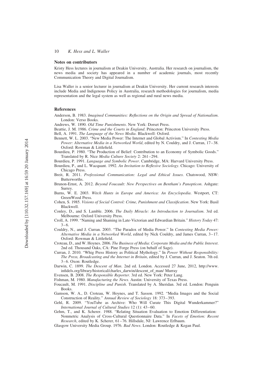### 10 K. Hess and L. Waller

### Notes on contributors

Kristy Hess lectures in journalism at Deakin University, Australia. Her research on journalism, the news media and society has appeared in a number of academic journals, most recently Communication Theory and Digital Journalism.

Lisa Waller is a senior lecturer in journalism at Deakin University. Her current research interests include Media and Indigenous Policy in Australia, research methodologies for journalism, media representation and the legal system as well as regional and rural news media.

### References

- Anderson, B. 1983. Imagined Communities: Reflections on the Origin and Spread of Nationalism. London: Verso Books.
- Andrews, W. 1890. Old Time Punishments. New York: Dorset Press.
- Beattie, J. M. 1986. Crime and the Courts in England. Princeton: Princeton University Press.
- Bell, A. 1991. The Language of the News Media. Blackwell: Oxford.
- Bennett, W. L. 2003. "New Media Power: The Internet and Global Activism." In Contesting Media Power: Alternative Media in a Networked World, edited by N. Couldry, and J. Curran, 17-38. Oxford: Rowman & Littlefield.

Bourdieu, P. 1980. "The Production of Belief: Contribution to an Economy of Symbolic Goods." Translated by R. Nice Media Culture Society 2: 261-294.

- Bourdieu, P. 1991. Language and Symbolic Power. Cambridge, MA: Harvard University Press.
- Bourdieu, P., and L. Wacquant. 1992. An Invitation to Reflexive Sociology. Chicago: University of Chicago Press.
- Breit, R. 2011. Professional Communication: Legal and Ethical Issues. Chatswood, NSW: Butterworths.
- Brunon-Ernst, A. 2012. Beyond Foucault: New Perspectives on Bentham's Panopticon. Ashgate: Surrey.
- Burns, W. E. 2003. Witch Hunts in Europe and America: An Encyclopedia. Westport, CT: GreenWood Press.
- Cohen, S. 1985. Visions of Social Control: Crime, Punishment and Classification. New York: Basil Blackwell.
- Conley, D., and S. Lamble. 2006. The Daily Miracle: An Introduction to Journalism. 3rd ed. Melbourne: Oxford University Press.
- Croll, A. 1999. "Naming and Shaming in Late-Victorian and Edwardian Britain." History Today 47:  $3 - 6.$
- Couldry, N., and J. Curran. 2003. "The Paradox of Media Power." In Contesting Media Power: Alternative Media in a Networked World, edited by Nick Couldry, and James Curran,  $3-17$ . Oxford: Rowman & Littlefield.
- Croteau, D., and W. Hoynes. 2006. The Business of Media: Corporate Media and the Public Interest. 2nd ed. Thousand Oaks, CA: Pine Forge Press (on behalf of Sage).
- Curran, J. 2010. "Whig Press History as Political Mythology." In Power Without Responsibility: The Press, Broadcasting and the Internet in Britain, edited by J. Curran, and J. Seaton. 7th ed. 3-6. Oxon: Routledge.
- Darwin, C. 1899. The Descent of Man. 2nd ed. London. Accessed 27 June, 2012, http://www. infidels.org/library/historical/charles\_darwin/descent\_of\_man/ Murray
- Evensen, B. 2008. The Responsible Reporter. 3rd ed. New York: Peter Lang.
- Fishman, M. 1980. Manufacturing the News. Austin: University of Texas Press.
- Foucault, M. 1991. Discipline and Punish. Translated by A. Sheridan. 3rd ed. London: Penguin Books.
- Gamson, W. A., D. Croteau, W. Hoynes, and T. Sasson. 1992. "Media Images and the Social Construction of Reality." Annual Review of Sociology 18: 373– 393.
- Gehl, R. 2009. "YouTube as Archive: Who Will Curate This Digital Wunderkammer?" International Journal of Cultural Studies 12 (1): 43 – 60.
- Gehm, T., and K. Scherer. 1988. "Relating Situation Evaluation to Emotion Differentiation: Nonmetric Analysis of Cross-Cultural Questionnaire Data." In Facets of Emotion: Recent Research, edited by K. Scherer, 61-76. Hillsdale, NJ: Lawrence Erlbaum.

Glasgow University Media Group. 1976. Bad News. London: Routledge & Kegan Paul.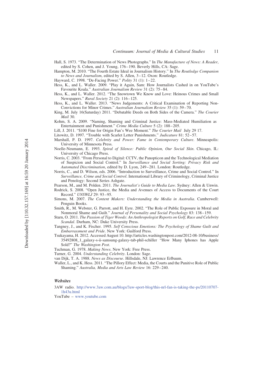Hall, S. 1973. "The Determination of News Photographs." In The Manufacture of News: A Reader, edited by S. Cohen, and J. Young, 176– 190. Beverly Hills, CA: Sage.

Hampton, M. 2010. "The Fourth Estate Ideal in Journalism History." In The Routledge Companion to News and Journalism, edited by S. Allen, 3-12. Oxon: Routledge.

Hayward, C. 1998. "De-Facing Power." Polity 31 (1): 1-22.

Hess, K., and L. Waller. 2009. "Play it Again, Sam: How Journalists Cashed in on YouTube's Favourite Koala." Australian Journalism Review 31 (2): 75 – 84.

Hess, K., and L. Waller. 2012. "The Snowtown We Know and Love: Heinous Crimes and Small Newspapers." Rural Society 21 (2): 116-125.

Hess, K., and L. Waller. 2013. "News Judgements: A Critical Examination of Reporting Non-Convictions for Minor Crimes." Australian Journalism Review 35 (1): 59 – 70.

- King, M. July 16(Saturday) 2011. "Debatable Deeds on Both Sides of the Camera." The Courier Mail 30.
- Kohm, S. A. 2009. "Naming, Shaming and Criminal Justice: Mass-Mediated Humiliation as Entertainment and Punishment." Crime Media Culture 5 (2): 188-205.

Lill, J. 2011. "\$100 Fine for Origin Fan's Wee Moment." The Courier Mail July 29 17.

- Litowitz, D. 1997. "Trouble with Scarlet Letter Punishments." Judicature 81: 52-57.
- Marshall, P. D. 1997. Celebrity and Power: Fame in Contemporary Culture. Minneapolis: University of Minnesota Press.
- Noelle-Neumann, E. 1993. Spiral of Silence: Public Opinion, Our Social Skin. Chicago, IL: University of Chicago Press.
- Norris, C. 2003. "From Personal to Digital: CCTV, the Panopticon and the Technological Mediation of Suspicion and Social Control." In Surveillance and Social Sorting: Privacy Risk and Automated Discrimination, edited by D. Lyon, 249-281. London: Routledge.
- Norris, C., and D. Wilson, eds. 2006. "Introduction to Surveillance, Crime and Social Control." In Surveillance, Crime and Social Control. International Library of Criminology, Criminal Justice and Penology: Second Series Ashgate.

Pearson, M., and M. Polden. 2011. The Journalist's Guide to Media Law. Sydney: Allen & Unwin.

- Rodrick, S. 2008. "Open Justice, the Media and Avenues of Access to Documents of the Court Record." UNSWLJ 29: 93-95.
- Simons, M. 2007. The Content Makers: Understanding the Media in Australia. Camberwell: Penguin Books.
- Smith, R., M. Webster, G. Parrott, and H. Eyre. 2002. "The Role of Public Exposure in Moral and Nonmoral Shame and Guilt." Journal of Personality and Social Psychology 83: 138–159.
- Starn, O. 2011. The Passion of Tiger Woods: An Anthropologist Reports on Golf, Race and Celebrity Scandal. Durham, NC: Duke University Press.

Tangney, J., and K. Fischer. 1995. Self Conscious Emotions: The Psychology of Shame Guilt and Embarrassment and Pride. New York: Guilford Press.

- Tsukayama, H. 2012. Accessed August 10. http://articles.washingtonpost.com/2012-08-10/business/ 35492808\_1\_galaxy-s-ii-samsung-galaxy-tab-phil-schiller "How Many Iphones has Apple Sold?" The Washington Post.
- Tuchman, G. 1978. Making News. New York: Free Press.
- Turner, G. 2004. Understanding Celebrity. London: Sage.
- van Dijk, T. A. 1988. News as Discourse. Hillsdale, NJ: Lawrence Erlbaum.
- Waller, L., and K. Hess. 2011. "The Pillory Effect: Media, the Courts and the Punitive Role of Public Shaming." Australia, Media and Arts Law Review 16: 229-240.

### **Websites**

- 3AW radio. http://www.3aw.com.au/blogs/3aw-sport-blog/this-nrl-fan-is-taking-the-ps/20110707- 1h43u.html
- YouTube www.youtube.com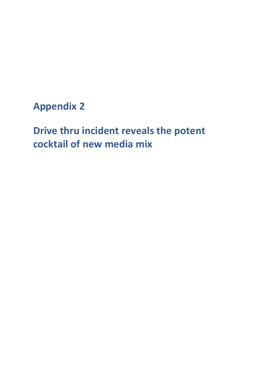# **Appendix 2**

Drive thru incident reveals the potent cocktail of new media mix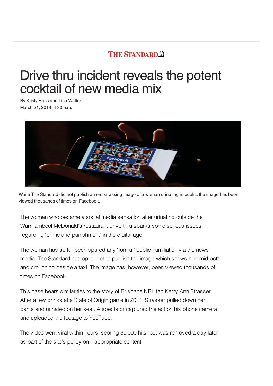### THE STANDARD (A)

# Drive thru incident reveals the potent cocktail of new media mix

By Kristy Hess and Lisa Waller March 21, 2014, 4:30 a.m.



While The Standard did not publish an embarassing image of a woman urinating in public, the image has been viewed thousands of times on Facebook.

The woman who became a social media sensation after urinating outside the Warrnambool McDonald's restaurant drive thru sparks some serious issues regarding "crime and punishment" in the digital age.

The woman has so far been spared any "formal" public humiliation via the news media. The Standard has opted not to publish the image which shows her "mid-act" and crouching beside a taxi. The image has, however, been viewed thousands of times on Facebook.

This case bears similarities to the story of Brisbane NRL fan Kerry Ann Strasser. After a few drinks at a State of Origin game in 2011, Strasser pulled down her pants and urinated on her seat. A spectator captured the act on his phone camera and uploaded the footage to YouTube.

The video went viral within hours, scoring 30,000 hits, but was removed a day later as part of the site's policy on inappropriate content.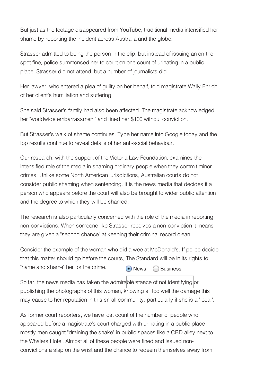But just as the footage disappeared from YouTube, traditional media intensified her shame by reporting the incident across Australia and the globe.

Strasser admitted to being the person in the clip, but instead of issuing an on-thespot fine, police summonsed her to court on one count of urinating in a public place. Strasser did not attend, but a number of journalists did.

Her lawyer, who entered a plea of guilty on her behalf, told magistrate Wally Ehrich of her client's humiliation and suffering.

She said Strasser's family had also been affected. The magistrate acknowledged her "worldwide embarrassment" and fined her \$100 without conviction.

But Strasser's walk of shame continues. Type her name into Google today and the top results continue to reveal details of her anti-social behaviour.

Our research, with the support of the Victoria Law Foundation, examines the intensified role of the media in shaming ordinary people when they commit minor crimes. Unlike some North American jurisdictions, Australian courts do not consider public shaming when sentencing. It is the news media that decides if a person who appears before the court will also be brought to wider public attention and the degree to which they will be shamed.

The research is also particularly concerned with the role of the media in reporting non-convictions. When someone like Strasser receives a non-conviction it means they are given a "second chance" at keeping their criminal record clean.

O News **Business** Consider the example of the woman who did a wee at McDonald's. If police decide that this matter should go before the courts, The Standard will be in its rights to "name and shame" her for the crime.

So far, the news media has taken the admirable stance of not identifying or publishing the photographs of this woman, knowing all too well the damage this may cause to her reputation in this small community, particularly if she is a "local".

As former court reporters, we have lost count of the number of people who appeared before a magistrate's court charged with urinating in a public place mostly men caught "draining the snake" in public spaces like a CBD alley next to the Whalers Hotel. Almost all of these people were fined and issued nonconvictions a slap on the wrist and the chance to redeem themselves away from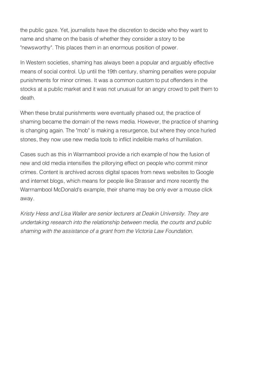the public gaze. Yet, journalists have the discretion to decide who they want to name and shame on the basis of whether they consider a story to be "newsworthy". This places them in an enormous position of power.

In Western societies, shaming has always been a popular and arguably effective means of social control. Up until the 19th century, shaming penalties were popular punishments for minor crimes. It was a common custom to put offenders in the stocks at a public market and it was not unusual for an angry crowd to pelt them to death.

When these brutal punishments were eventually phased out, the practice of shaming became the domain of the news media. However, the practice of shaming is changing again. The "mob" is making a resurgence, but where they once hurled stones, they now use new media tools to inflict indelible marks of humiliation.

Cases such as this in Warrnambool provide a rich example of how the fusion of new and old media intensifies the pillorying effect on people who commit minor crimes. Content is archived across digital spaces from news websites to Google and internet blogs, which means for people like Strasser and more recently the Warrnambool McDonald's example, their shame may be only ever a mouse click away.

*Kristy Hess and Lisa Waller are senior lecturers at Deakin University. They are undertaking research into the relationship between media, the courts and public shaming with the assistance of a grant from the Victoria Law Foundation.*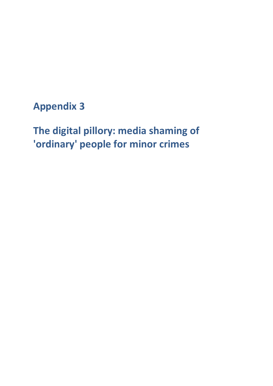# **Appendix 3**

The digital pillory: media shaming of 'ordinary' people for minor crimes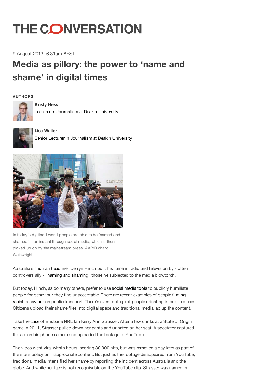# THE CONVERSATION

9 August 2013, 6.31am AEST

**Kristy Hess**

# **Media as pillory: the power to 'name and shame' in digital times**

**AUTHORS**



Lecturer in Journalism at Deakin University



**Lisa Waller** Senior Lecturer in Journalism at Deakin University



In today's digitised world people are able to be 'named and shamed' in an instant through social media, which is then picked up on by the mainstream press. AAP/Richard Wainwright

Australia's "human headline" Derryn Hinch built his fame in radio and television by - often controversially - "naming and shaming" those he subjected to the media blowtorch.

But today, Hinch, as do many others, prefer to use social media tools to publicly humiliate people for behaviour they find unacceptable. There are recent examples of people filming racist behaviour on public transport. There's even footage of people urinating in public places. Citizens upload their shame files into digital space and traditional media lap up the content.

Take the case of Brisbane NRL fan Kerry Ann Strasser. After a few drinks at a State of Origin game in 2011, Strasser pulled down her pants and urinated on her seat. A spectator captured the act on his phone camera and uploaded the footage to YouTube.

The video went viral within hours, scoring 30,000 hits, but was removed a day later as part of the site's policy on inappropriate content. But just as the footage disappeared from YouTube, traditional media intensified her shame by reporting the incident across Australia and the globe. And while her face is not recognisable on the YouTube clip, Strasser was named in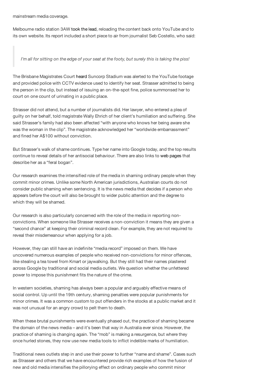mainstream media coverage.

Melbourne radio station 3AW took the lead, reloading the content back onto YouTube and to its own website. Its report included a short piece to air from journalist Seb Costello, who said:

*I'm all for sitting on the edge of your seat at the footy, but surely this is taking the piss!*

The Brisbane Magistrates Court heard Suncorp Stadium was alerted to the YouTube footage and provided police with CCTV evidence used to identify her seat. Strasser admitted to being the person in the clip, but instead of issuing an on-the-spot fine, police summonsed her to court on one count of urinating in a public place.

Strasser did not attend, but a number of journalists did. Her lawyer, who entered a plea of guilty on her behalf, told magistrate Wally Ehrich of her client's humiliation and suffering. She said Strasser's family had also been affected "with anyone who knows her being aware she was the woman in the clip". The magistrate acknowledged her "worldwide embarrassment" and fined her A\$100 without conviction.

But Strasser's walk of shame continues. Type her name into Google today, and the top results continue to reveal details of her antisocial behaviour. There are also links to web pages that describe her as a "feral bogan".

Our research examines the intensified role of the media in shaming ordinary people when they commit minor crimes. Unlike some North American jurisdictions, Australian courts do not consider public shaming when sentencing. It is the news media that decides if a person who appears before the court will also be brought to wider public attention and the degree to which they will be shamed.

Our research is also particularly concerned with the role of the media in reporting nonconvictions. When someone like Strasser receives a non-conviction it means they are given a "second chance" at keeping their criminal record clean. For example, they are not required to reveal their misdemeanour when applying for a job.

However, they can still have an indefinite "media record" imposed on them. We have uncovered numerous examples of people who received non-convictions for minor offences, like stealing a tea towel from Kmart or jaywalking. But they still had their names plastered across Google by traditional and social media outlets. We question whether the unfettered power to impose this punishment fits the nature of the crime.

In western societies, shaming has always been a popular and arguably effective means of social control. Up until the 19th century, shaming penalties were popular punishments for minor crimes. It was a common custom to put offenders in the stocks at a public market and it was not unusual for an angry crowd to pelt them to death.

When these brutal punishments were eventually phased out, the practice of shaming became the domain of the news media – and it's been that way in Australia ever since. However, the practice of shaming is changing again. The "mob" is making a resurgence, but where they once hurled stones, they now use new media tools to inflict indelible marks of humiliation.

Traditional news outlets step in and use their power to further "name and shame". Cases such as Strasser and others that we have encountered provide rich examples of how the fusion of new and old media intensifies the pillorying effect on ordinary people who commit minor